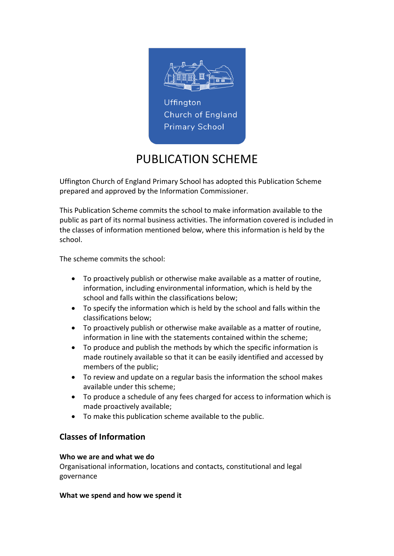

# PUBLICATION SCHEME

Uffington Church of England Primary School has adopted this Publication Scheme prepared and approved by the Information Commissioner.

This Publication Scheme commits the school to make information available to the public as part of its normal business activities. The information covered is included in the classes of information mentioned below, where this information is held by the school.

The scheme commits the school:

- To proactively publish or otherwise make available as a matter of routine, information, including environmental information, which is held by the school and falls within the classifications below;
- To specify the information which is held by the school and falls within the classifications below;
- To proactively publish or otherwise make available as a matter of routine, information in line with the statements contained within the scheme;
- To produce and publish the methods by which the specific information is made routinely available so that it can be easily identified and accessed by members of the public;
- To review and update on a regular basis the information the school makes available under this scheme;
- To produce a schedule of any fees charged for access to information which is made proactively available;
- To make this publication scheme available to the public.

# Classes of Information

#### Who we are and what we do

Organisational information, locations and contacts, constitutional and legal governance

#### What we spend and how we spend it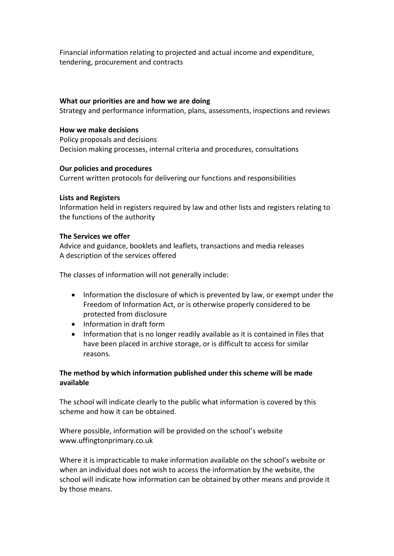Financial information relating to projected and actual income and expenditure, tendering, procurement and contracts

#### What our priorities are and how we are doing

Strategy and performance information, plans, assessments, inspections and reviews

#### How we make decisions

Policy proposals and decisions Decision making processes, internal criteria and procedures, consultations

# Our policies and procedures

Current written protocols for delivering our functions and responsibilities

# Lists and Registers

Information held in registers required by law and other lists and registers relating to the functions of the authority

# The Services we offer

Advice and guidance, booklets and leaflets, transactions and media releases A description of the services offered

The classes of information will not generally include:

- Information the disclosure of which is prevented by law, or exempt under the Freedom of Information Act, or is otherwise properly considered to be protected from disclosure
- Information in draft form
- Information that is no longer readily available as it is contained in files that have been placed in archive storage, or is difficult to access for similar reasons.

# The method by which information published under this scheme will be made available

The school will indicate clearly to the public what information is covered by this scheme and how it can be obtained.

Where possible, information will be provided on the school's website www.uffingtonprimary.co.uk

Where it is impracticable to make information available on the school's website or when an individual does not wish to access the information by the website, the school will indicate how information can be obtained by other means and provide it by those means.